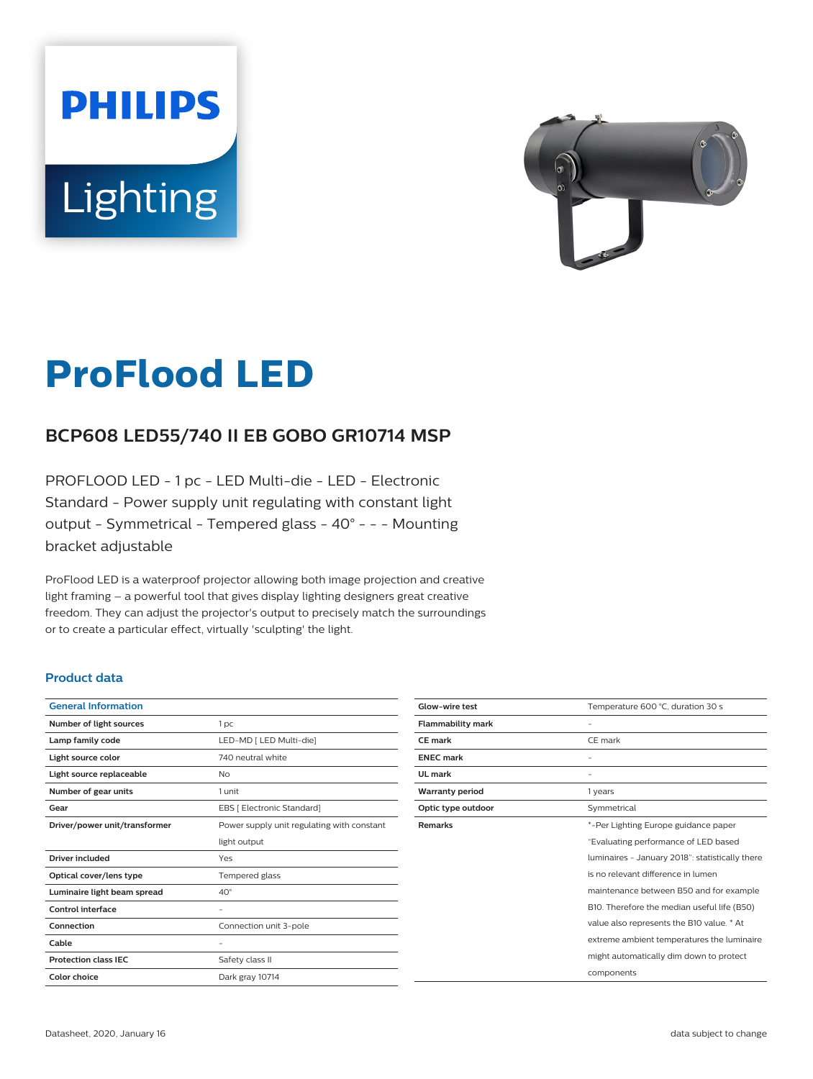



# **ProFlood LED**

## **BCP608 LED55/740 II EB GOBO GR10714 MSP**

PROFLOOD LED - 1 pc - LED Multi-die - LED - Electronic Standard - Power supply unit regulating with constant light output - Symmetrical - Tempered glass - 40° - - - Mounting bracket adjustable

ProFlood LED is a waterproof projector allowing both image projection and creative light framing – a powerful tool that gives display lighting designers great creative freedom. They can adjust the projector's output to precisely match the surroundings or to create a particular effect, virtually 'sculpting' the light.

### **Product data**

| <b>General Information</b>    |                                            |
|-------------------------------|--------------------------------------------|
| Number of light sources       | 1 <sub>pc</sub>                            |
| Lamp family code              | LED-MD [ LED Multi-die]                    |
| Light source color            | 740 neutral white                          |
| Light source replaceable      | No                                         |
| Number of gear units          | 1 unit                                     |
| Gear                          | EBS [ Electronic Standard]                 |
| Driver/power unit/transformer | Power supply unit regulating with constant |
|                               | light output                               |
| Driver included               | Yes                                        |
| Optical cover/lens type       | Tempered glass                             |
| Luminaire light beam spread   | $40^{\circ}$                               |
| <b>Control interface</b>      |                                            |
| Connection                    | Connection unit 3-pole                     |
| Cable                         |                                            |
| <b>Protection class IFC</b>   | Safety class II                            |
| Color choice                  | Dark gray 10714                            |

| Glow-wire test           | Temperature 600 °C, duration 30 s               |
|--------------------------|-------------------------------------------------|
| <b>Flammability mark</b> |                                                 |
| <b>CE</b> mark           | CE mark                                         |
| <b>ENEC mark</b>         |                                                 |
| UL mark                  |                                                 |
| <b>Warranty period</b>   | 1 years                                         |
| Optic type outdoor       | Symmetrical                                     |
| <b>Remarks</b>           | *-Per Lighting Europe guidance paper            |
|                          | "Evaluating performance of LED based            |
|                          | luminaires - January 2018": statistically there |
|                          | is no relevant difference in lumen              |
|                          | maintenance between B50 and for example         |
|                          | B10. Therefore the median useful life (B50)     |
|                          | value also represents the B10 value. * At       |
|                          | extreme ambient temperatures the luminaire      |
|                          | might automatically dim down to protect         |
|                          | components                                      |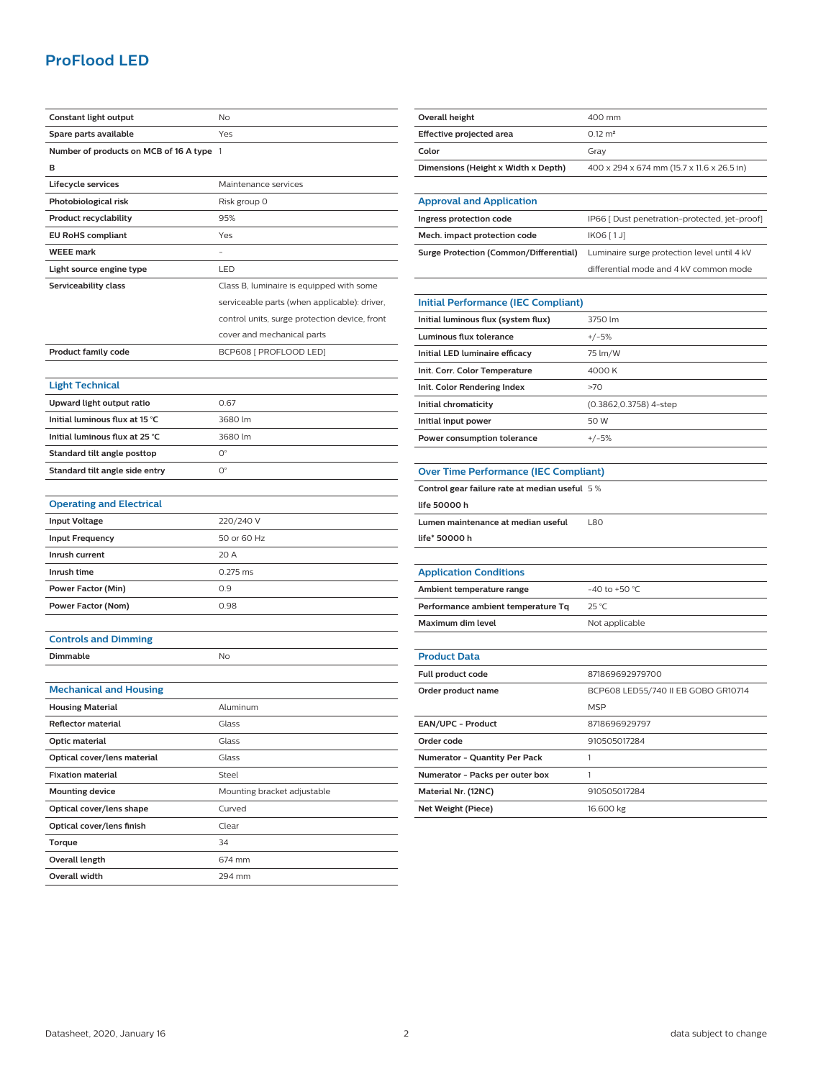## **ProFlood LED**

| Constant light output                    | No                                            |
|------------------------------------------|-----------------------------------------------|
| Spare parts available                    | Yes                                           |
| Number of products on MCB of 16 A type 1 |                                               |
| в                                        |                                               |
| Lifecycle services                       | Maintenance services                          |
| Photobiological risk                     | Risk group 0                                  |
| <b>Product recyclability</b>             | 95%                                           |
| <b>EU RoHS compliant</b>                 | Yes                                           |
| <b>WEEE</b> mark                         |                                               |
| Light source engine type                 | LED                                           |
| Serviceability class                     | Class B, luminaire is equipped with some      |
|                                          | serviceable parts (when applicable): driver,  |
|                                          | control units, surge protection device, front |
|                                          | cover and mechanical parts                    |
| <b>Product family code</b>               | BCP608 [ PROFLOOD LED]                        |
|                                          |                                               |
| <b>Light Technical</b>                   |                                               |
| Upward light output ratio                | 0.67                                          |
| Initial luminous flux at 15 °C           | 3680 lm                                       |
| Initial luminous flux at 25 °C           | 3680 lm                                       |
| Standard tilt angle posttop              | О°                                            |
| Standard tilt angle side entry           | О°                                            |
|                                          |                                               |
| <b>Operating and Electrical</b>          |                                               |
| <b>Input Voltage</b>                     | 220/240 V                                     |
| <b>Input Frequency</b>                   | 50 or 60 Hz                                   |
| Inrush current                           | 20 A                                          |
| Inrush time                              | 0.275 ms                                      |
| Power Factor (Min)                       | 0.9                                           |
| Power Factor (Nom)                       | 0.98                                          |
|                                          |                                               |
| <b>Controls and Dimming</b>              |                                               |
| Dimmable                                 | No                                            |
|                                          |                                               |
| <b>Mechanical and Housing</b>            |                                               |
| <b>Housing Material</b>                  | Aluminum                                      |
| <b>Reflector material</b>                | Glass                                         |
| Optic material                           | Glass                                         |
| Optical cover/lens material              | Glass                                         |
| <b>Fixation material</b>                 | Steel                                         |
| <b>Mounting device</b>                   | Mounting bracket adjustable                   |
| Optical cover/lens shape                 | Curved                                        |
| Optical cover/lens finish                | Clear                                         |
| Torque                                   | 34                                            |
| Overall length                           | 674 mm                                        |
| Overall width                            | 294 mm                                        |

| Overall height                         | $400 \text{ mm}$                              |
|----------------------------------------|-----------------------------------------------|
| Effective projected area               | $0.12 \text{ m}^2$                            |
| Color                                  | Grav                                          |
| Dimensions (Height x Width x Depth)    | 400 x 294 x 674 mm (15.7 x 11.6 x 26.5 in)    |
|                                        |                                               |
| <b>Approval and Application</b>        |                                               |
| Ingress protection code                | IP66 [ Dust penetration-protected, jet-proof] |
| Mech. impact protection code           | IK06 [1J]                                     |
| Surge Protection (Common/Differential) | Luminaire surge protection level until 4 kV   |
|                                        | differential mode and 4 kV common mode        |

| <b>Initial Performance (IEC Compliant)</b> |                        |
|--------------------------------------------|------------------------|
| Initial luminous flux (system flux)        | 3750 lm                |
| Luminous flux tolerance                    | $+/-5%$                |
| Initial LED luminaire efficacy             | 75 lm/W                |
| Init. Corr. Color Temperature              | 4000 K                 |
| Init. Color Rendering Index                | >70                    |
| Initial chromaticity                       | (0.3862,0.3758) 4-step |
| Initial input power                        | 50 W                   |
| Power consumption tolerance                | $+/-5%$                |

| <b>Over Time Performance (IEC Compliant)</b>  |      |
|-----------------------------------------------|------|
| Control gear failure rate at median useful 5% |      |
| life 50000 h                                  |      |
| Lumen maintenance at median useful            | 1.80 |
| life* 50000 h                                 |      |
|                                               |      |
| $\cdots$                                      |      |

| <b>Application Conditions</b>      |                  |
|------------------------------------|------------------|
| Ambient temperature range          | $-40$ to +50 °C. |
| Performance ambient temperature To | 25 °C            |
| Maximum dim level                  | Not applicable   |

### **Product Data**

| Full product code                    | 871869692979700                     |
|--------------------------------------|-------------------------------------|
| Order product name                   | BCP608 LED55/740 II EB GOBO GR10714 |
|                                      | <b>MSP</b>                          |
| EAN/UPC - Product                    | 8718696929797                       |
| Order code                           | 910505017284                        |
| <b>Numerator - Quantity Per Pack</b> |                                     |
| Numerator - Packs per outer box      |                                     |
| Material Nr. (12NC)                  | 910505017284                        |
| Net Weight (Piece)                   | 16.600 kg                           |
|                                      |                                     |

L